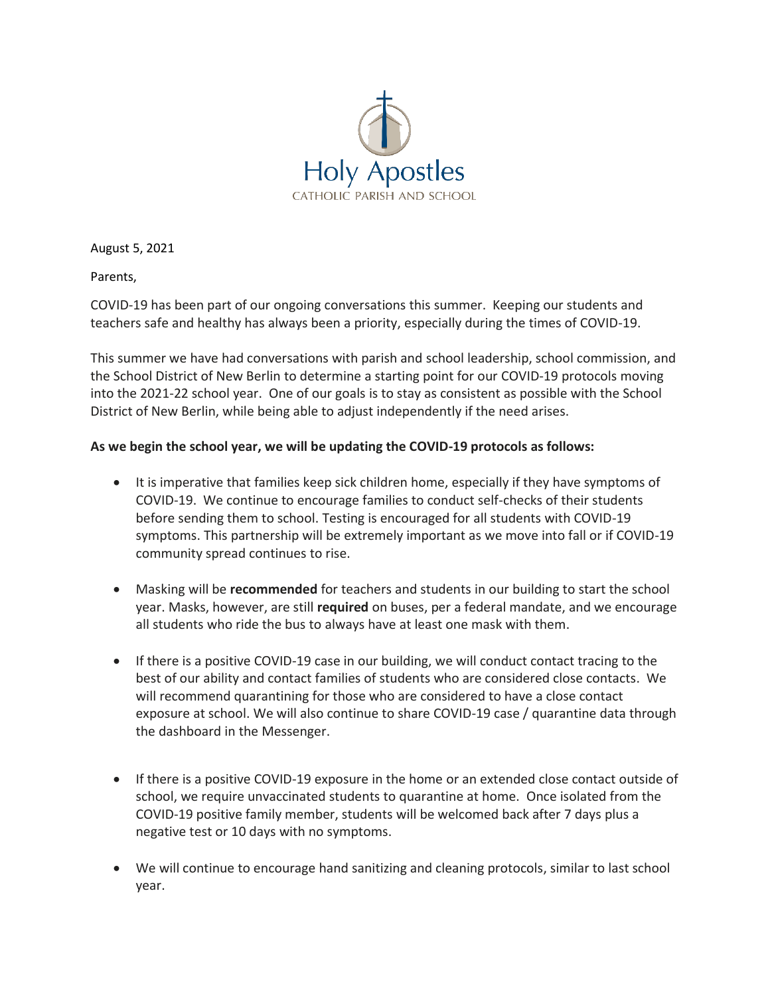

August 5, 2021

Parents,

COVID-19 has been part of our ongoing conversations this summer. Keeping our students and teachers safe and healthy has always been a priority, especially during the times of COVID-19.

This summer we have had conversations with parish and school leadership, school commission, and the School District of New Berlin to determine a starting point for our COVID-19 protocols moving into the 2021-22 school year. One of our goals is to stay as consistent as possible with the School District of New Berlin, while being able to adjust independently if the need arises.

## **As we begin the school year, we will be updating the COVID-19 protocols as follows:**

- It is imperative that families keep sick children home, especially if they have symptoms of COVID-19. We continue to encourage families to conduct self-checks of their students before sending them to school. Testing is encouraged for all students with COVID-19 symptoms. This partnership will be extremely important as we move into fall or if COVID-19 community spread continues to rise.
- Masking will be **recommended** for teachers and students in our building to start the school year. Masks, however, are still **required** on buses, per a federal mandate, and we encourage all students who ride the bus to always have at least one mask with them.
- If there is a positive COVID-19 case in our building, we will conduct contact tracing to the best of our ability and contact families of students who are considered close contacts. We will recommend quarantining for those who are considered to have a close contact exposure at school. We will also continue to share COVID-19 case / quarantine data through the dashboard in the Messenger.
- If there is a positive COVID-19 exposure in the home or an extended close contact outside of school, we require unvaccinated students to quarantine at home. Once isolated from the COVID-19 positive family member, students will be welcomed back after 7 days plus a negative test or 10 days with no symptoms.
- We will continue to encourage hand sanitizing and cleaning protocols, similar to last school year.